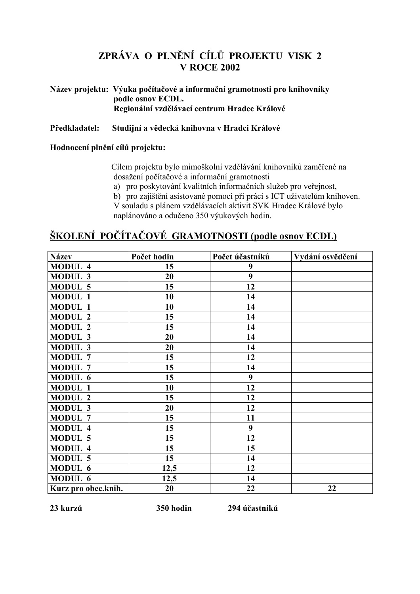# ZPRÁVA O PLNĚNÍ CÍLŮ PROJEKTU VISK 2 **V ROCE 2002**

## Název projektu: Výuka počítačové a informační gramotnosti pro knihovníky podle osnov ECDL. Regionální vzdělávací centrum Hradec Králové

#### Předkladatel: Studijní a vědecká knihovna v Hradci Králové

### Hodnocení plnění cílů projektu:

Cílem projektu bylo mimoškolní vzdělávání knihovníků zaměřené na dosažení počítačové a informační gramotnosti

- a) pro poskytování kvalitních informačních služeb pro veřejnost,
- b) pro zajištění asistované pomoci při práci s ICT uživatelům knihoven.

V souladu s plánem vzdělávacích aktivit SVK Hradec Králové bylo naplánováno a odučeno 350 výukových hodin.

# ŠKOLENÍ POČÍTAČOVÉ GRAMOTNOSTI (podle osnov ECDL)

| <b>Název</b>        | Počet hodin | Počet účastníků | Vydání osvědčení |
|---------------------|-------------|-----------------|------------------|
| <b>MODUL 4</b>      | 15          | 9               |                  |
| <b>MODUL 3</b>      | 20          | 9               |                  |
| <b>MODUL 5</b>      | 15          | 12              |                  |
| <b>MODUL 1</b>      | 10          | 14              |                  |
| <b>MODUL 1</b>      | 10          | 14              |                  |
| <b>MODUL 2</b>      | 15          | 14              |                  |
| <b>MODUL 2</b>      | 15          | 14              |                  |
| <b>MODUL 3</b>      | 20          | 14              |                  |
| MODUL 3             | 20          | 14              |                  |
| <b>MODUL 7</b>      | 15          | 12              |                  |
| <b>MODUL 7</b>      | 15          | 14              |                  |
| MODUL 6             | 15          | 9               |                  |
| <b>MODUL 1</b>      | 10          | 12              |                  |
| <b>MODUL 2</b>      | 15          | 12              |                  |
| <b>MODUL 3</b>      | 20          | 12              |                  |
| <b>MODUL 7</b>      | 15          | 11              |                  |
| <b>MODUL 4</b>      | 15          | 9               |                  |
| <b>MODUL 5</b>      | 15          | 12              |                  |
| <b>MODUL 4</b>      | 15          | 15              |                  |
| <b>MODUL 5</b>      | 15          | 14              |                  |
| MODUL 6             | 12,5        | 12              |                  |
| MODUL 6             | 12,5        | 14              |                  |
| Kurz pro obec.knih. | 20          | 22              | 22               |

23 kurzů

294 účastníků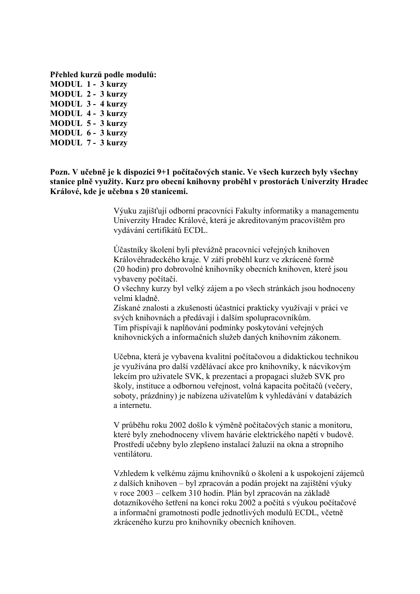Přehled kurzů podle modulů: **MODUL 1 - 3 kurzy MODUL 2 - 3 kurzy MODUL 3 - 4 kurzy MODUL 4 - 3 kurzy** MODUL 5 - 3 kurzy MODUL 6 - 3 kurzy MODUL 7 - 3 kurzy

Pozn. V učebně je k dispozici 9+1 počítačových stanic. Ve všech kurzech byly všechny stanice plně využity. Kurz pro obecní knihovny proběhl v prostorách Univerzity Hradec Králové, kde je učebna s 20 stanicemi.

> Výuku zajišťují odborní pracovníci Fakulty informatiky a managementu Univerzity Hradec Králové, která je akreditovaným pracovištěm pro vydávání certifikátů ECDL.

Účastníky školení byli převážně pracovníci veřejných knihoven Královéhradeckého kraje. V září proběhl kurz ve zkrácené formě (20 hodin) pro dobrovolné knihovníky obecních knihoven, které jsou vybaveny počítači.

O všechny kurzy byl velký zájem a po všech stránkách jsou hodnoceny velmi kladně

Získané znalosti a zkušenosti účastníci prakticky využívají v práci ve svých knihovnách a předávají i dalším spolupracovníkům. Tím přispívají k naplňování podmínky poskytování veřejných knihovnických a informačních služeb daných knihovním zákonem.

Učebna, která je vybavena kvalitní počítačovou a didaktickou technikou je využívána pro další vzdělávací akce pro knihovníky, k nácvikovým lekcím pro uživatele SVK, k prezentaci a propagaci služeb SVK pro školy, instituce a odbornou veřejnost, volná kapacita počítačů (večery, soboty, prázdniny) je nabízena uživatelům k vyhledávání v databázích a internetu.

V průběhu roku 2002 došlo k výměně počítačových stanic a monitoru, které byly znehodnoceny vlivem havárie elektrického napětí v budově. Prostředí učebny bylo zlepšeno instalací žaluzií na okna a stropního ventilátoru

Vzhledem k velkému zájmu knihovníků o školení a k uspokojení zájemců z dalších knihoven – byl zpracován a podán projekt na zajištění výuky v roce 2003 – celkem 310 hodin. Plán byl zpracován na základě dotazníkového šetření na konci roku 2002 a počítá s výukou počítačové a informační gramotnosti podle jednotlivých modulů ECDL, včetně zkráceného kurzu pro knihovníky obecních knihoven.